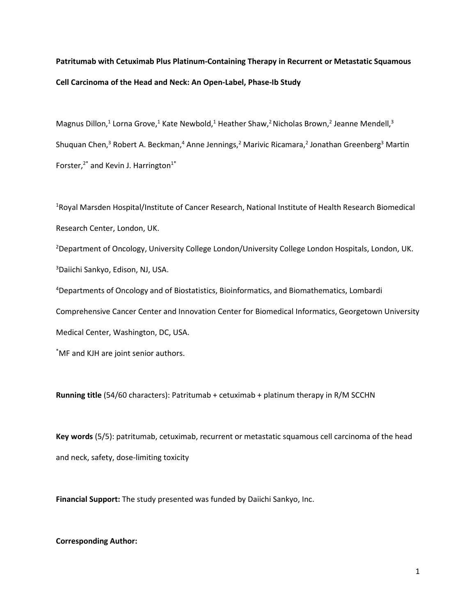# **Patritumab with Cetuximab Plus Platinum-Containing Therapy in Recurrent or Metastatic Squamous Cell Carcinoma of the Head and Neck: An Open-Label, Phase-Ib Study**

Magnus Dillon,<sup>1</sup> Lorna Grove,<sup>1</sup> Kate Newbold,<sup>1</sup> Heather Shaw,<sup>2</sup> Nicholas Brown,<sup>2</sup> Jeanne Mendell,<sup>3</sup> Shuquan Chen,<sup>3</sup> Robert A. Beckman,<sup>4</sup> Anne Jennings,<sup>2</sup> Marivic Ricamara,<sup>2</sup> Jonathan Greenberg<sup>3</sup> Martin Forster, $2^*$  and Kevin J. Harrington<sup>1\*</sup>

<sup>1</sup>Royal Marsden Hospital/Institute of Cancer Research, National Institute of Health Research Biomedical Research Center, London, UK.

<sup>2</sup>Department of Oncology, University College London/University College London Hospitals, London, UK. <sup>3</sup>Daiichi Sankyo, Edison, NJ, USA.

<sup>4</sup>Departments of Oncology and of Biostatistics, Bioinformatics, and Biomathematics, Lombardi Comprehensive Cancer Center and Innovation Center for Biomedical Informatics, Georgetown University Medical Center, Washington, DC, USA.

\*MF and KJH are joint senior authors.

**Running title** (54/60 characters): Patritumab + cetuximab + platinum therapy in R/M SCCHN

**Key words** (5/5): patritumab, cetuximab, recurrent or metastatic squamous cell carcinoma of the head and neck, safety, dose-limiting toxicity

**Financial Support:** The study presented was funded by Daiichi Sankyo, Inc.

## **Corresponding Author:**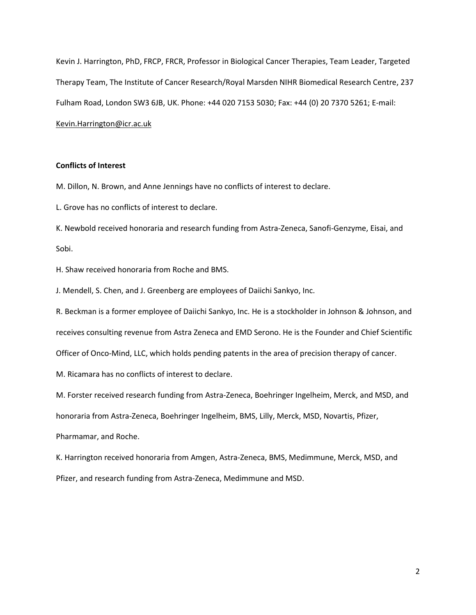Kevin J. Harrington, PhD, FRCP, FRCR, Professor in Biological Cancer Therapies, Team Leader, Targeted Therapy Team, The Institute of Cancer Research/Royal Marsden NIHR Biomedical Research Centre, 237 Fulham Road, London SW3 6JB, UK. Phone: +44 020 7153 5030; Fax: +44 (0) 20 7370 5261; E-mail: [Kevin.Harrington@icr.ac.uk](mailto:Kevin.Harrington@icr.ac.uk)

## **Conflicts of Interest**

M. Dillon, N. Brown, and Anne Jennings have no conflicts of interest to declare.

L. Grove has no conflicts of interest to declare.

K. Newbold received honoraria and research funding from Astra-Zeneca, Sanofi-Genzyme, Eisai, and Sobi.

H. Shaw received honoraria from Roche and BMS.

J. Mendell, S. Chen, and J. Greenberg are employees of Daiichi Sankyo, Inc.

R. Beckman is a former employee of Daiichi Sankyo, Inc. He is a stockholder in Johnson & Johnson, and receives consulting revenue from Astra Zeneca and EMD Serono. He is the Founder and Chief Scientific Officer of Onco-Mind, LLC, which holds pending patents in the area of precision therapy of cancer.

M. Ricamara has no conflicts of interest to declare.

M. Forster received research funding from Astra-Zeneca, Boehringer Ingelheim, Merck, and MSD, and honoraria from Astra-Zeneca, Boehringer Ingelheim, BMS, Lilly, Merck, MSD, Novartis, Pfizer, Pharmamar, and Roche.

K. Harrington received honoraria from Amgen, Astra-Zeneca, BMS, Medimmune, Merck, MSD, and Pfizer, and research funding from Astra-Zeneca, Medimmune and MSD.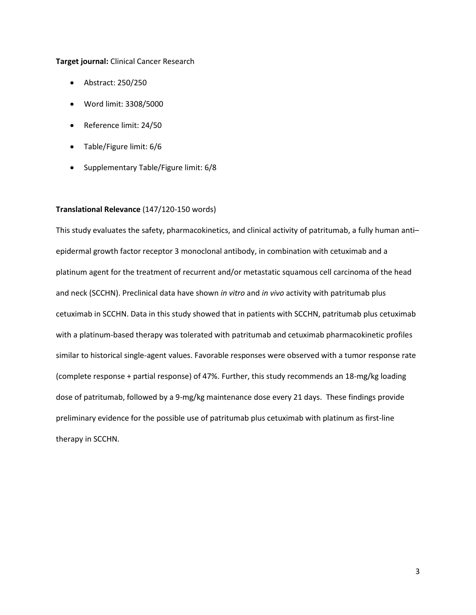## **Target journal:** Clinical Cancer Research

- Abstract: 250/250
- Word limit: 3308/5000
- Reference limit: 24/50
- Table/Figure limit: 6/6
- Supplementary Table/Figure limit: 6/8

## **Translational Relevance** (147/120-150 words)

This study evaluates the safety, pharmacokinetics, and clinical activity of patritumab, a fully human anti– epidermal growth factor receptor 3 monoclonal antibody, in combination with cetuximab and a platinum agent for the treatment of recurrent and/or metastatic squamous cell carcinoma of the head and neck (SCCHN). Preclinical data have shown *in vitro* and *in vivo* activity with patritumab plus cetuximab in SCCHN. Data in this study showed that in patients with SCCHN, patritumab plus cetuximab with a platinum-based therapy was tolerated with patritumab and cetuximab pharmacokinetic profiles similar to historical single-agent values. Favorable responses were observed with a tumor response rate (complete response + partial response) of 47%. Further, this study recommends an 18-mg/kg loading dose of patritumab, followed by a 9-mg/kg maintenance dose every 21 days. These findings provide preliminary evidence for the possible use of patritumab plus cetuximab with platinum as first-line therapy in SCCHN.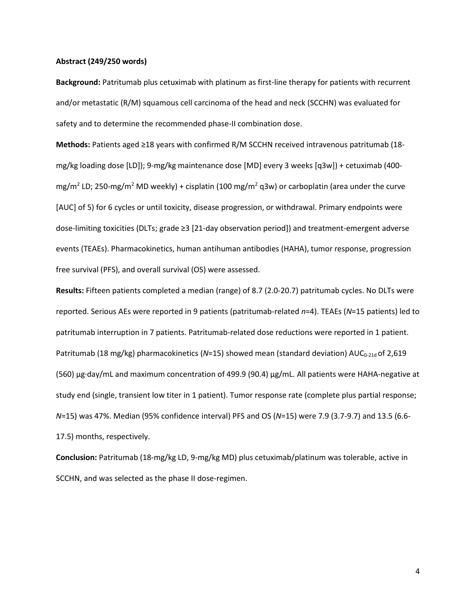### **Abstract (249/250 words)**

**Background:** Patritumab plus cetuximab with platinum as first-line therapy for patients with recurrent and/or metastatic (R/M) squamous cell carcinoma of the head and neck (SCCHN) was evaluated for safety and to determine the recommended phase-II combination dose.

**Methods:** Patients aged ≥18 years with confirmed R/M SCCHN received intravenous patritumab (18 mg/kg loading dose [LD]); 9-mg/kg maintenance dose [MD] every 3 weeks [q3w]) + cetuximab (400 mg/m<sup>2</sup> LD; 250-mg/m<sup>2</sup> MD weekly) + cisplatin (100 mg/m<sup>2</sup> q3w) or carboplatin (area under the curve [AUC] of 5) for 6 cycles or until toxicity, disease progression, or withdrawal. Primary endpoints were dose-limiting toxicities (DLTs; grade ≥3 [21-day observation period]) and treatment-emergent adverse events (TEAEs). Pharmacokinetics, human antihuman antibodies (HAHA), tumor response, progression free survival (PFS), and overall survival (OS) were assessed.

**Results:** Fifteen patients completed a median (range) of 8.7 (2.0-20.7) patritumab cycles. No DLTs were reported. Serious AEs were reported in 9 patients (patritumab-related *n*=4). TEAEs (*N*=15 patients) led to patritumab interruption in 7 patients. Patritumab-related dose reductions were reported in 1 patient. Patritumab (18 mg/kg) pharmacokinetics (N=15) showed mean (standard deviation) AUC<sub>0-21d</sub> of 2,619 (560) µg∙day/mL and maximum concentration of 499.9 (90.4) µg/mL. All patients were HAHA-negative at study end (single, transient low titer in 1 patient). Tumor response rate (complete plus partial response; *N*=15) was 47%. Median (95% confidence interval) PFS and OS (*N*=15) were 7.9 (3.7-9.7) and 13.5 (6.6- 17.5) months, respectively.

**Conclusion:** Patritumab (18-mg/kg LD, 9-mg/kg MD) plus cetuximab/platinum was tolerable, active in SCCHN, and was selected as the phase II dose-regimen.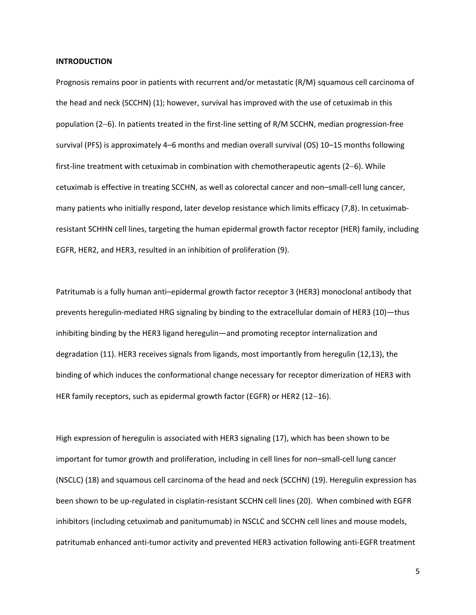#### **INTRODUCTION**

Prognosis remains poor in patients with recurrent and/or metastatic (R/M) squamous cell carcinoma of the head and neck (SCCHN) (1); however, survival has improved with the use of cetuximab in this population (26). In patients treated in the first-line setting of R/M SCCHN, median progression-free survival (PFS) is approximately 4–6 months and median overall survival (OS) 10–15 months following first-line treatment with cetuximab in combination with chemotherapeutic agents  $(2-6)$ . While cetuximab is effective in treating SCCHN, as well as colorectal cancer and non–small-cell lung cancer, many patients who initially respond, later develop resistance which limits efficacy (7,8). In cetuximabresistant SCHHN cell lines, targeting the human epidermal growth factor receptor (HER) family, including EGFR, HER2, and HER3, resulted in an inhibition of proliferation (9).

Patritumab is a fully human anti–epidermal growth factor receptor 3 (HER3) monoclonal antibody that prevents heregulin-mediated HRG signaling by binding to the extracellular domain of HER3 (10)—thus inhibiting binding by the HER3 ligand heregulin—and promoting receptor internalization and degradation (11). HER3 receives signals from ligands, most importantly from heregulin (12,13), the binding of which induces the conformational change necessary for receptor dimerization of HER3 with HER family receptors, such as epidermal growth factor (EGFR) or HER2 (12-16).

High expression of heregulin is associated with HER3 signaling (17), which has been shown to be important for tumor growth and proliferation, including in cell lines for non–small-cell lung cancer (NSCLC) (18) and squamous cell carcinoma of the head and neck (SCCHN) (19). Heregulin expression has been shown to be up-regulated in cisplatin-resistant SCCHN cell lines (20). When combined with EGFR inhibitors (including cetuximab and panitumumab) in NSCLC and SCCHN cell lines and mouse models, patritumab enhanced anti-tumor activity and prevented HER3 activation following anti-EGFR treatment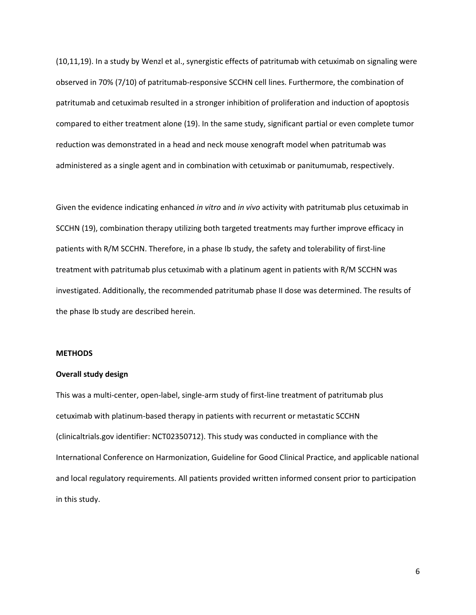(10,11,19). In a study by Wenzl et al., synergistic effects of patritumab with cetuximab on signaling were observed in 70% (7/10) of patritumab-responsive SCCHN cell lines. Furthermore, the combination of patritumab and cetuximab resulted in a stronger inhibition of proliferation and induction of apoptosis compared to either treatment alone (19). In the same study, significant partial or even complete tumor reduction was demonstrated in a head and neck mouse xenograft model when patritumab was administered as a single agent and in combination with cetuximab or panitumumab, respectively.

Given the evidence indicating enhanced *in vitro* and *in vivo* activity with patritumab plus cetuximab in SCCHN (19), combination therapy utilizing both targeted treatments may further improve efficacy in patients with R/M SCCHN. Therefore, in a phase Ib study, the safety and tolerability of first-line treatment with patritumab plus cetuximab with a platinum agent in patients with R/M SCCHN was investigated. Additionally, the recommended patritumab phase II dose was determined. The results of the phase Ib study are described herein.

## **METHODS**

## **Overall study design**

This was a multi-center, open-label, single-arm study of first-line treatment of patritumab plus cetuximab with platinum-based therapy in patients with recurrent or metastatic SCCHN (clinicaltrials.gov identifier: NCT02350712). This study was conducted in compliance with the International Conference on Harmonization, Guideline for Good Clinical Practice, and applicable national and local regulatory requirements. All patients provided written informed consent prior to participation in this study.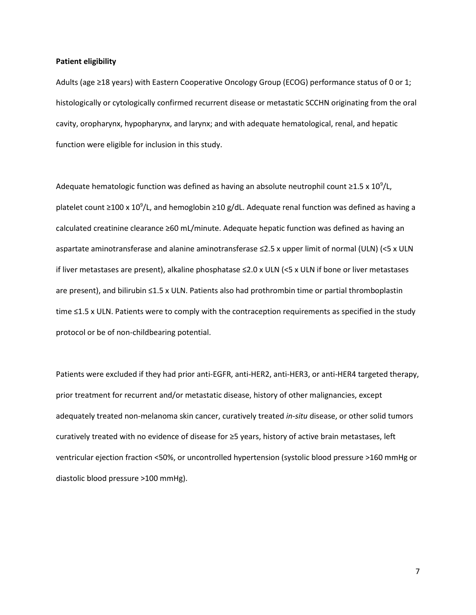#### **Patient eligibility**

Adults (age ≥18 years) with Eastern Cooperative Oncology Group (ECOG) performance status of 0 or 1; histologically or cytologically confirmed recurrent disease or metastatic SCCHN originating from the oral cavity, oropharynx, hypopharynx, and larynx; and with adequate hematological, renal, and hepatic function were eligible for inclusion in this study.

Adequate hematologic function was defined as having an absolute neutrophil count ≥1.5 x 10<sup>9</sup>/L, platelet count ≥100 x 10<sup>9</sup>/L, and hemoglobin ≥10 g/dL. Adequate renal function was defined as having a calculated creatinine clearance ≥60 mL/minute. Adequate hepatic function was defined as having an aspartate aminotransferase and alanine aminotransferase ≤2.5 x upper limit of normal (ULN) (<5 x ULN if liver metastases are present), alkaline phosphatase ≤2.0 x ULN (<5 x ULN if bone or liver metastases are present), and bilirubin ≤1.5 x ULN. Patients also had prothrombin time or partial thromboplastin time ≤1.5 x ULN. Patients were to comply with the contraception requirements as specified in the study protocol or be of non-childbearing potential.

Patients were excluded if they had prior anti-EGFR, anti-HER2, anti-HER3, or anti-HER4 targeted therapy, prior treatment for recurrent and/or metastatic disease, history of other malignancies, except adequately treated non-melanoma skin cancer, curatively treated *in-situ* disease, or other solid tumors curatively treated with no evidence of disease for ≥5 years, history of active brain metastases, left ventricular ejection fraction <50%, or uncontrolled hypertension (systolic blood pressure >160 mmHg or diastolic blood pressure >100 mmHg).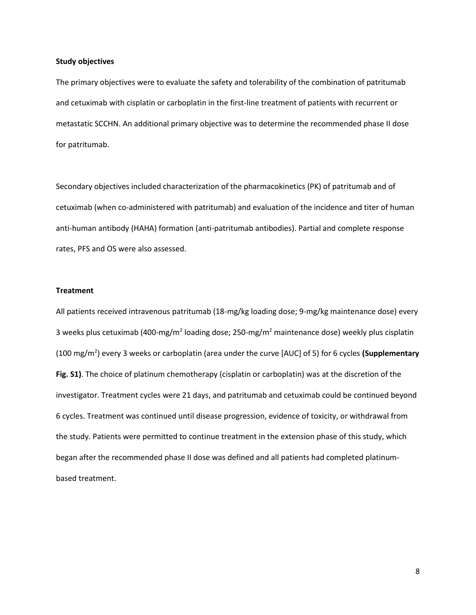#### **Study objectives**

The primary objectives were to evaluate the safety and tolerability of the combination of patritumab and cetuximab with cisplatin or carboplatin in the first-line treatment of patients with recurrent or metastatic SCCHN. An additional primary objective was to determine the recommended phase II dose for patritumab.

Secondary objectives included characterization of the pharmacokinetics (PK) of patritumab and of cetuximab (when co-administered with patritumab) and evaluation of the incidence and titer of human anti-human antibody (HAHA) formation (anti-patritumab antibodies). Partial and complete response rates, PFS and OS were also assessed.

## **Treatment**

All patients received intravenous patritumab (18-mg/kg loading dose; 9-mg/kg maintenance dose) every 3 weeks plus cetuximab (400-mg/m<sup>2</sup> loading dose; 250-mg/m<sup>2</sup> maintenance dose) weekly plus cisplatin (100 mg/m<sup>2</sup> ) every 3 weeks or carboplatin (area under the curve [AUC] of 5) for 6 cycles **(Supplementary Fig. S1)**. The choice of platinum chemotherapy (cisplatin or carboplatin) was at the discretion of the investigator. Treatment cycles were 21 days, and patritumab and cetuximab could be continued beyond 6 cycles. Treatment was continued until disease progression, evidence of toxicity, or withdrawal from the study. Patients were permitted to continue treatment in the extension phase of this study, which began after the recommended phase II dose was defined and all patients had completed platinumbased treatment.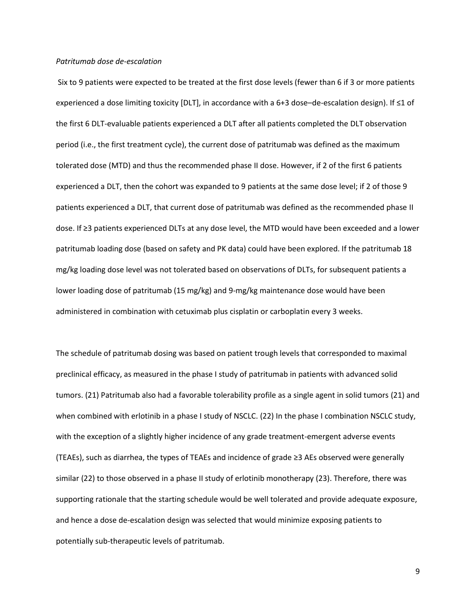#### *Patritumab dose de-escalation*

Six to 9 patients were expected to be treated at the first dose levels (fewer than 6 if 3 or more patients experienced a dose limiting toxicity [DLT], in accordance with a 6+3 dose–de-escalation design). If ≤1 of the first 6 DLT-evaluable patients experienced a DLT after all patients completed the DLT observation period (i.e., the first treatment cycle), the current dose of patritumab was defined as the maximum tolerated dose (MTD) and thus the recommended phase II dose. However, if 2 of the first 6 patients experienced a DLT, then the cohort was expanded to 9 patients at the same dose level; if 2 of those 9 patients experienced a DLT, that current dose of patritumab was defined as the recommended phase II dose. If ≥3 patients experienced DLTs at any dose level, the MTD would have been exceeded and a lower patritumab loading dose (based on safety and PK data) could have been explored. If the patritumab 18 mg/kg loading dose level was not tolerated based on observations of DLTs, for subsequent patients a lower loading dose of patritumab (15 mg/kg) and 9-mg/kg maintenance dose would have been administered in combination with cetuximab plus cisplatin or carboplatin every 3 weeks.

The schedule of patritumab dosing was based on patient trough levels that corresponded to maximal preclinical efficacy, as measured in the phase I study of patritumab in patients with advanced solid tumors. (21) Patritumab also had a favorable tolerability profile as a single agent in solid tumors (21) and when combined with erlotinib in a phase I study of NSCLC. (22) In the phase I combination NSCLC study, with the exception of a slightly higher incidence of any grade treatment-emergent adverse events (TEAEs), such as diarrhea, the types of TEAEs and incidence of grade ≥3 AEs observed were generally similar (22) to those observed in a phase II study of erlotinib monotherapy (23). Therefore, there was supporting rationale that the starting schedule would be well tolerated and provide adequate exposure, and hence a dose de-escalation design was selected that would minimize exposing patients to potentially sub-therapeutic levels of patritumab.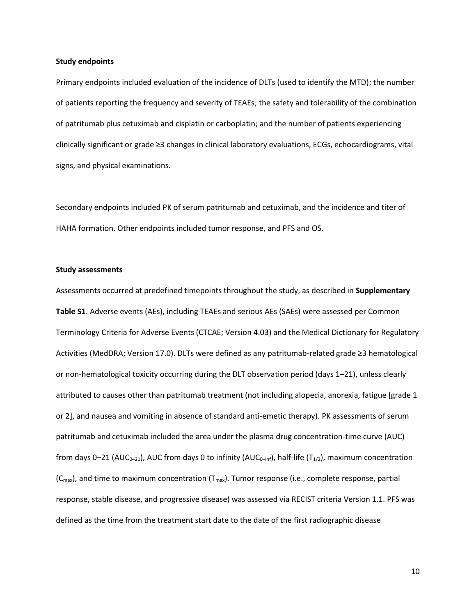#### **Study endpoints**

Primary endpoints included evaluation of the incidence of DLTs (used to identify the MTD); the number of patients reporting the frequency and severity of TEAEs; the safety and tolerability of the combination of patritumab plus cetuximab and cisplatin or carboplatin; and the number of patients experiencing clinically significant or grade ≥3 changes in clinical laboratory evaluations, ECGs, echocardiograms, vital signs, and physical examinations.

Secondary endpoints included PK of serum patritumab and cetuximab, and the incidence and titer of HAHA formation. Other endpoints included tumor response, and PFS and OS.

#### **Study assessments**

Assessments occurred at predefined timepoints throughout the study, as described in **Supplementary Table S1**. Adverse events (AEs), including TEAEs and serious AEs (SAEs) were assessed per Common Terminology Criteria for Adverse Events (CTCAE; Version 4.03) and the Medical Dictionary for Regulatory Activities (MedDRA; Version 17.0). DLTs were defined as any patritumab-related grade ≥3 hematological or non-hematological toxicity occurring during the DLT observation period (days 1–21), unless clearly attributed to causes other than patritumab treatment (not including alopecia, anorexia, fatigue [grade 1 or 2], and nausea and vomiting in absence of standard anti-emetic therapy). PK assessments of serum patritumab and cetuximab included the area under the plasma drug concentration-time curve (AUC) from days 0–21 (AUC<sub>0–21</sub>), AUC from days 0 to infinity (AUC<sub>0-inf</sub>), half-life (T<sub>1/2</sub>), maximum concentration  $(C<sub>max</sub>)$ , and time to maximum concentration ( $T<sub>max</sub>$ ). Tumor response (i.e., complete response, partial response, stable disease, and progressive disease) was assessed via RECIST criteria Version 1.1. PFS was defined as the time from the treatment start date to the date of the first radiographic disease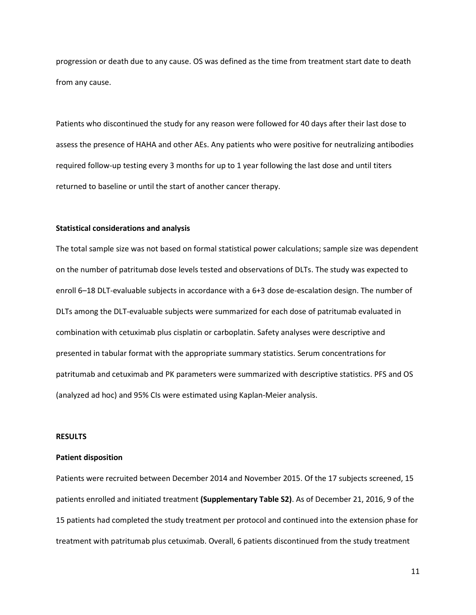progression or death due to any cause. OS was defined as the time from treatment start date to death from any cause.

Patients who discontinued the study for any reason were followed for 40 days after their last dose to assess the presence of HAHA and other AEs. Any patients who were positive for neutralizing antibodies required follow-up testing every 3 months for up to 1 year following the last dose and until titers returned to baseline or until the start of another cancer therapy.

## **Statistical considerations and analysis**

The total sample size was not based on formal statistical power calculations; sample size was dependent on the number of patritumab dose levels tested and observations of DLTs. The study was expected to enroll 6–18 DLT-evaluable subjects in accordance with a 6+3 dose de-escalation design. The number of DLTs among the DLT-evaluable subjects were summarized for each dose of patritumab evaluated in combination with cetuximab plus cisplatin or carboplatin. Safety analyses were descriptive and presented in tabular format with the appropriate summary statistics. Serum concentrations for patritumab and cetuximab and PK parameters were summarized with descriptive statistics. PFS and OS (analyzed ad hoc) and 95% CIs were estimated using Kaplan-Meier analysis.

## **RESULTS**

#### **Patient disposition**

Patients were recruited between December 2014 and November 2015. Of the 17 subjects screened, 15 patients enrolled and initiated treatment **(Supplementary Table S2)**. As of December 21, 2016, 9 of the 15 patients had completed the study treatment per protocol and continued into the extension phase for treatment with patritumab plus cetuximab. Overall, 6 patients discontinued from the study treatment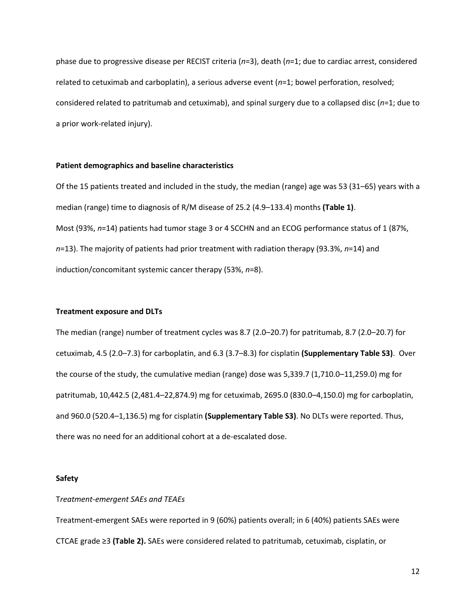phase due to progressive disease per RECIST criteria (*n*=3), death (*n*=1; due to cardiac arrest, considered related to cetuximab and carboplatin), a serious adverse event (*n*=1; bowel perforation, resolved; considered related to patritumab and cetuximab), and spinal surgery due to a collapsed disc (*n*=1; due to a prior work-related injury).

## **Patient demographics and baseline characteristics**

Of the 15 patients treated and included in the study, the median (range) age was 53 (31–65) years with a median (range) time to diagnosis of R/M disease of 25.2 (4.9–133.4) months **(Table 1)**. Most (93%, *n*=14) patients had tumor stage 3 or 4 SCCHN and an ECOG performance status of 1 (87%, *n*=13). The majority of patients had prior treatment with radiation therapy (93.3%, *n*=14) and induction/concomitant systemic cancer therapy (53%, *n*=8).

## **Treatment exposure and DLTs**

The median (range) number of treatment cycles was 8.7 (2.0–20.7) for patritumab, 8.7 (2.0–20.7) for cetuximab, 4.5 (2.0–7.3) for carboplatin, and 6.3 (3.7–8.3) for cisplatin **(Supplementary Table S3)**. Over the course of the study, the cumulative median (range) dose was 5,339.7 (1,710.0–11,259.0) mg for patritumab, 10,442.5 (2,481.4–22,874.9) mg for cetuximab, 2695.0 (830.0–4,150.0) mg for carboplatin, and 960.0 (520.4–1,136.5) mg for cisplatin **(Supplementary Table S3)**. No DLTs were reported. Thus, there was no need for an additional cohort at a de-escalated dose.

## **Safety**

## T*reatment-emergent SAEs and TEAEs*

Treatment-emergent SAEs were reported in 9 (60%) patients overall; in 6 (40%) patients SAEs were CTCAE grade ≥3 **(Table 2).** SAEs were considered related to patritumab, cetuximab, cisplatin, or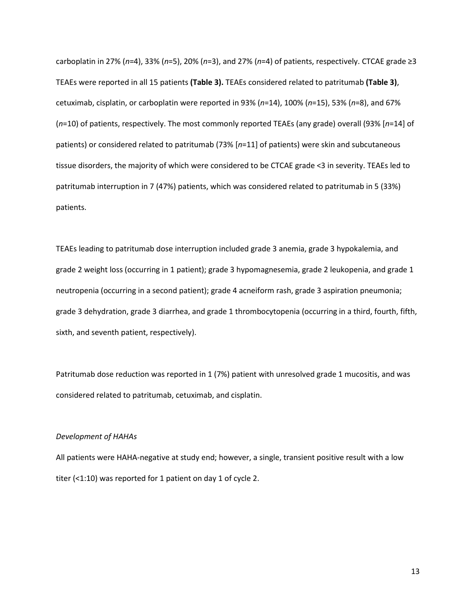carboplatin in 27% (*n*=4), 33% (*n*=5), 20% (*n*=3), and 27% (*n*=4) of patients, respectively. CTCAE grade ≥3 TEAEs were reported in all 15 patients **(Table 3).** TEAEs considered related to patritumab **(Table 3)**, cetuximab, cisplatin, or carboplatin were reported in 93% (*n*=14), 100% (*n*=15), 53% (*n*=8), and 67% (*n*=10) of patients, respectively. The most commonly reported TEAEs (any grade) overall (93% [*n*=14] of patients) or considered related to patritumab (73% [*n*=11] of patients) were skin and subcutaneous tissue disorders, the majority of which were considered to be CTCAE grade <3 in severity. TEAEs led to patritumab interruption in 7 (47%) patients, which was considered related to patritumab in 5 (33%) patients.

TEAEs leading to patritumab dose interruption included grade 3 anemia, grade 3 hypokalemia, and grade 2 weight loss (occurring in 1 patient); grade 3 hypomagnesemia, grade 2 leukopenia, and grade 1 neutropenia (occurring in a second patient); grade 4 acneiform rash, grade 3 aspiration pneumonia; grade 3 dehydration, grade 3 diarrhea, and grade 1 thrombocytopenia (occurring in a third, fourth, fifth, sixth, and seventh patient, respectively).

Patritumab dose reduction was reported in 1 (7%) patient with unresolved grade 1 mucositis, and was considered related to patritumab, cetuximab, and cisplatin.

#### *Development of HAHAs*

All patients were HAHA-negative at study end; however, a single, transient positive result with a low titer (<1:10) was reported for 1 patient on day 1 of cycle 2.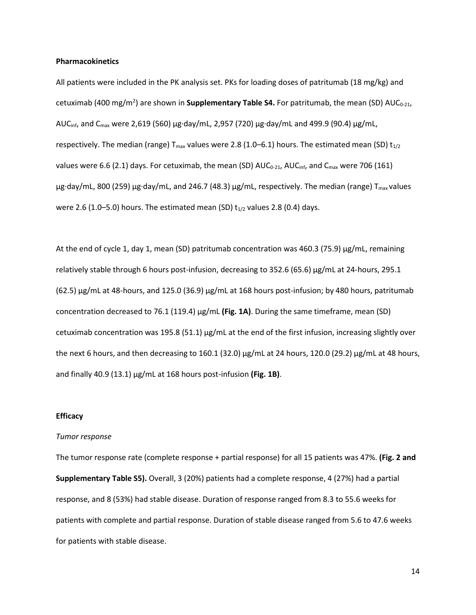#### **Pharmacokinetics**

All patients were included in the PK analysis set. PKs for loading doses of patritumab (18 mg/kg) and cetuximab (400 mg/m<sup>2</sup>) are shown in **Supplementary Table S4.** For patritumab, the mean (SD) AUC<sub>0-21</sub>, AUCinf, and Cmax were 2,619 (560) µg∙day/mL, 2,957 (720) µg∙day/mL and 499.9 (90.4) µg/mL, respectively. The median (range)  $T_{max}$  values were 2.8 (1.0–6.1) hours. The estimated mean (SD)  $t_{1/2}$ values were 6.6 (2.1) days. For cetuximab, the mean (SD)  $AUC_{0.21}$ ,  $AUC_{\text{inf}}$ , and  $C_{\text{max}}$  were 706 (161) µg∙day/mL, 800 (259) µg⋅day/mL, and 246.7 (48.3) µg/mL, respectively. The median (range) T<sub>max</sub> values were 2.6 (1.0–5.0) hours. The estimated mean (SD)  $t_{1/2}$  values 2.8 (0.4) days.

At the end of cycle 1, day 1, mean (SD) patritumab concentration was 460.3 (75.9)  $\mu$ g/mL, remaining relatively stable through 6 hours post-infusion, decreasing to 352.6 (65.6) µg/mL at 24-hours, 295.1  $(62.5)$  µg/mL at 48-hours, and 125.0 (36.9) µg/mL at 168 hours post-infusion; by 480 hours, patritumab concentration decreased to 76.1 (119.4) µg/mL **(Fig. 1A)**. During the same timeframe, mean (SD) cetuximab concentration was 195.8 (51.1) µg/mL at the end of the first infusion, increasing slightly over the next 6 hours, and then decreasing to 160.1 (32.0)  $\mu$ g/mL at 24 hours, 120.0 (29.2)  $\mu$ g/mL at 48 hours, and finally 40.9 (13.1) µg/mL at 168 hours post-infusion **(Fig. 1B)**.

## **Efficacy**

#### *Tumor response*

The tumor response rate (complete response + partial response) for all 15 patients was 47%. **(Fig. 2 and Supplementary Table S5).** Overall, 3 (20%) patients had a complete response, 4 (27%) had a partial response, and 8 (53%) had stable disease. Duration of response ranged from 8.3 to 55.6 weeks for patients with complete and partial response. Duration of stable disease ranged from 5.6 to 47.6 weeks for patients with stable disease.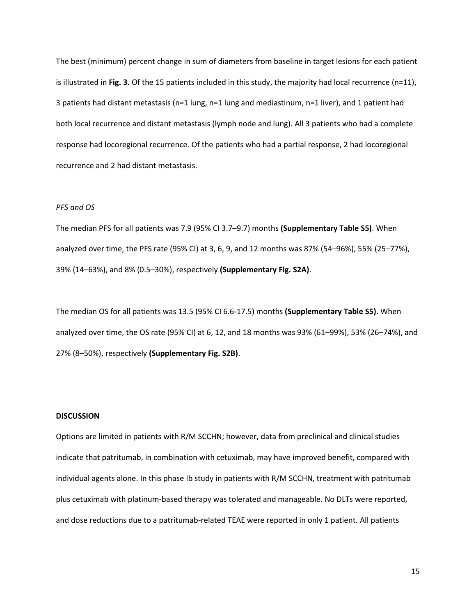The best (minimum) percent change in sum of diameters from baseline in target lesions for each patient is illustrated in **Fig. 3.** Of the 15 patients included in this study, the majority had local recurrence (n=11), 3 patients had distant metastasis (n=1 lung, n=1 lung and mediastinum, n=1 liver), and 1 patient had both local recurrence and distant metastasis (lymph node and lung). All 3 patients who had a complete response had locoregional recurrence. Of the patients who had a partial response, 2 had locoregional recurrence and 2 had distant metastasis.

#### *PFS and OS*

The median PFS for all patients was 7.9 (95% CI 3.7–9.7) months **(Supplementary Table S5)**. When analyzed over time, the PFS rate (95% CI) at 3, 6, 9, and 12 months was 87% (54–96%), 55% (25–77%), 39% (14–63%), and 8% (0.5–30%), respectively **(Supplementary Fig. S2A)**.

The median OS for all patients was 13.5 (95% CI 6.6-17.5) months **(Supplementary Table S5)**. When analyzed over time, the OS rate (95% CI) at 6, 12, and 18 months was 93% (61–99%), 53% (26–74%), and 27% (8–50%), respectively **(Supplementary Fig. S2B)**.

#### **DISCUSSION**

Options are limited in patients with R/M SCCHN; however, data from preclinical and clinical studies indicate that patritumab, in combination with cetuximab, may have improved benefit, compared with individual agents alone. In this phase Ib study in patients with R/M SCCHN, treatment with patritumab plus cetuximab with platinum-based therapy was tolerated and manageable. No DLTs were reported, and dose reductions due to a patritumab-related TEAE were reported in only 1 patient. All patients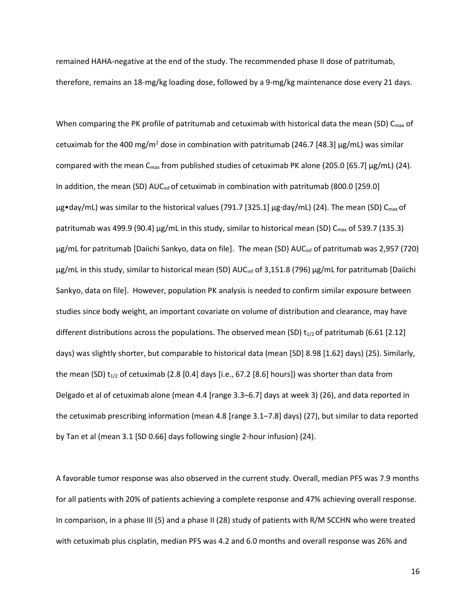remained HAHA-negative at the end of the study. The recommended phase II dose of patritumab, therefore, remains an 18-mg/kg loading dose, followed by a 9-mg/kg maintenance dose every 21 days.

When comparing the PK profile of patritumab and cetuximab with historical data the mean (SD) C<sub>max</sub> of cetuximab for the 400 mg/m<sup>2</sup> dose in combination with patritumab (246.7 [48.3]  $\mu$ g/mL) was similar compared with the mean  $C_{\text{max}}$  from published studies of cetuximab PK alone (205.0 [65.7]  $\mu$ g/mL) (24). In addition, the mean (SD) AUC<sub>inf</sub> of cetuximab in combination with patritumab (800.0 [259.0]  $\mu$ g•day/mL) was similar to the historical values (791.7 [325.1]  $\mu$ g·day/mL) (24). The mean (SD) C<sub>max</sub> of patritumab was 499.9 (90.4)  $\mu$ g/mL in this study, similar to historical mean (SD) C<sub>max</sub> of 539.7 (135.3) µg/mL for patritumab [Daiichi Sankyo, data on file]. The mean (SD) AUC<sub>inf</sub> of patritumab was 2,957 (720) µg/mL in this study, similar to historical mean (SD) AUC<sub>inf</sub> of 3,151.8 (796) µg/mL for patritumab [Daiichi Sankyo, data on file]. However, population PK analysis is needed to confirm similar exposure between studies since body weight, an important covariate on volume of distribution and clearance, may have different distributions across the populations. The observed mean (SD)  $t_{1/2}$  of patritumab (6.61 [2.12] days) was slightly shorter, but comparable to historical data (mean [SD] 8.98 [1.62] days) (25). Similarly, the mean (SD)  $t_{1/2}$  of cetuximab (2.8 [0.4] days [i.e., 67.2 [8.6] hours]) was shorter than data from Delgado et al of cetuximab alone (mean 4.4 [range 3.3–6.7] days at week 3) (26), and data reported in the cetuximab prescribing information (mean 4.8 [range 3.1–7.8] days) (27), but similar to data reported by Tan et al (mean 3.1 [SD 0.66] days following single 2-hour infusion) (24).

A favorable tumor response was also observed in the current study. Overall, median PFS was 7.9 months for all patients with 20% of patients achieving a complete response and 47% achieving overall response. In comparison, in a phase III (5) and a phase II (28) study of patients with R/M SCCHN who were treated with cetuximab plus cisplatin, median PFS was 4.2 and 6.0 months and overall response was 26% and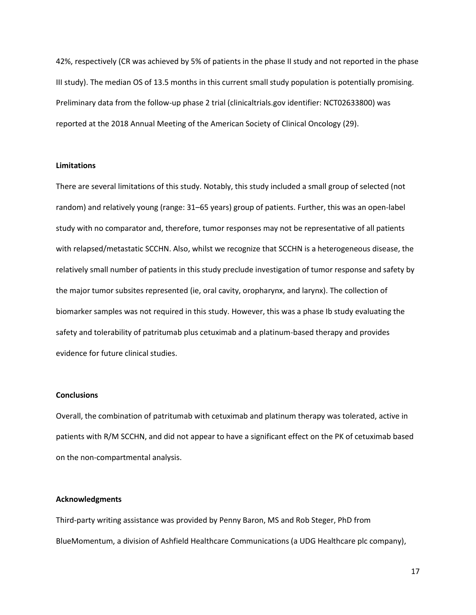42%, respectively (CR was achieved by 5% of patients in the phase II study and not reported in the phase III study). The median OS of 13.5 months in this current small study population is potentially promising. Preliminary data from the follow-up phase 2 trial (clinicaltrials.gov identifier: NCT02633800) was reported at the 2018 Annual Meeting of the American Society of Clinical Oncology (29).

#### **Limitations**

There are several limitations of this study. Notably, this study included a small group of selected (not random) and relatively young (range: 31–65 years) group of patients. Further, this was an open-label study with no comparator and, therefore, tumor responses may not be representative of all patients with relapsed/metastatic SCCHN. Also, whilst we recognize that SCCHN is a heterogeneous disease, the relatively small number of patients in this study preclude investigation of tumor response and safety by the major tumor subsites represented (ie, oral cavity, oropharynx, and larynx). The collection of biomarker samples was not required in this study. However, this was a phase Ib study evaluating the safety and tolerability of patritumab plus cetuximab and a platinum-based therapy and provides evidence for future clinical studies.

### **Conclusions**

Overall, the combination of patritumab with cetuximab and platinum therapy was tolerated, active in patients with R/M SCCHN, and did not appear to have a significant effect on the PK of cetuximab based on the non-compartmental analysis.

## **Acknowledgments**

Third-party writing assistance was provided by Penny Baron, MS and Rob Steger, PhD from BlueMomentum, a division of Ashfield Healthcare Communications (a UDG Healthcare plc company),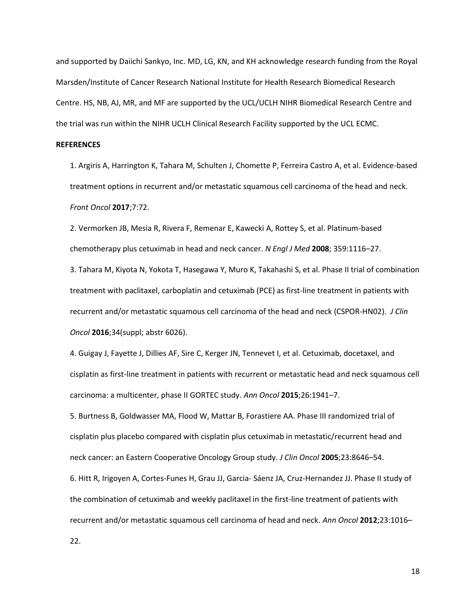and supported by Daiichi Sankyo, Inc. MD, LG, KN, and KH acknowledge research funding from the Royal Marsden/Institute of Cancer Research National Institute for Health Research Biomedical Research Centre. HS, NB, AJ, MR, and MF are supported by the UCL/UCLH NIHR Biomedical Research Centre and the trial was run within the NIHR UCLH Clinical Research Facility supported by the UCL ECMC.

## **REFERENCES**

1. Argiris A, Harrington K, Tahara M, Schulten J, Chomette P, Ferreira Castro A, et al. Evidence-based treatment options in recurrent and/or metastatic squamous cell carcinoma of the head and neck. *Front Oncol* **2017**;7:72.

2. Vermorken JB, Mesia R, Rivera F, Remenar E, Kawecki A, Rottey S, et al. Platinum-based chemotherapy plus cetuximab in head and neck cancer. *N Engl J Med* **2008**; 359:1116–27.

3. Tahara M, Kiyota N, Yokota T, Hasegawa Y, Muro K, Takahashi S, et al. Phase II trial of combination treatment with paclitaxel, carboplatin and cetuximab (PCE) as first-line treatment in patients with recurrent and/or metastatic squamous cell carcinoma of the head and neck (CSPOR-HN02). *J Clin Oncol* **2016**;34(suppl; abstr 6026).

4. Guigay J, Fayette J, Dillies AF, Sire C, Kerger JN, Tennevet I, et al. Cetuximab, docetaxel, and cisplatin as first-line treatment in patients with recurrent or metastatic head and neck squamous cell carcinoma: a multicenter, phase II GORTEC study. *Ann Oncol* **2015**;26:1941–7.

5. Burtness B, Goldwasser MA, Flood W, Mattar B, Forastiere AA. Phase III randomized trial of cisplatin plus placebo compared with cisplatin plus cetuximab in metastatic/recurrent head and neck cancer: an Eastern Cooperative Oncology Group study. *J Clin Oncol* **2005**;23:8646–54.

6. Hitt R, Irigoyen A, Cortes-Funes H, Grau JJ, Garcia- Sáenz JA, Cruz-Hernandez JJ. Phase II study of the combination of cetuximab and weekly paclitaxel in the first-line treatment of patients with recurrent and/or metastatic squamous cell carcinoma of head and neck. *Ann Oncol* **2012**;23:1016–

22.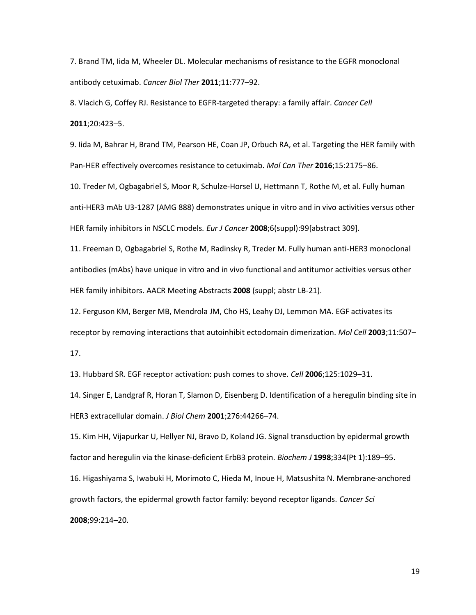7. Brand TM, Iida M, Wheeler DL. Molecular mechanisms of resistance to the EGFR monoclonal antibody cetuximab. *Cancer Biol Ther* **2011**;11:777–92.

8. Vlacich G, Coffey RJ. Resistance to EGFR-targeted therapy: a family affair. *Cancer Cell* **2011**;20:423–5.

9. Iida M, Bahrar H, Brand TM, Pearson HE, Coan JP, Orbuch RA, et al. Targeting the HER family with Pan-HER effectively overcomes resistance to cetuximab. *Mol Can Ther* **2016**;15:2175–86.

10. Treder M, Ogbagabriel S, Moor R, Schulze-Horsel U, Hettmann T, Rothe M, et al. Fully human anti-HER3 mAb U3-1287 (AMG 888) demonstrates unique in vitro and in vivo activities versus other HER family inhibitors in NSCLC models*. Eur J Cancer* **2008**;6(suppl):99[abstract 309].

11. Freeman D, Ogbagabriel S, Rothe M, Radinsky R, Treder M. Fully human anti-HER3 monoclonal antibodies (mAbs) have unique in vitro and in vivo functional and antitumor activities versus other HER family inhibitors. AACR Meeting Abstracts **2008** (suppl; abstr LB-21).

12. Ferguson KM, Berger MB, Mendrola JM, Cho HS, Leahy DJ, Lemmon MA. EGF activates its receptor by removing interactions that autoinhibit ectodomain dimerization. *Mol Cell* **2003**;11:507–

17.

13. Hubbard SR. EGF receptor activation: push comes to shove. *Cell* **2006**;125:1029–31.

14. Singer E, Landgraf R, Horan T, Slamon D, Eisenberg D. Identification of a heregulin binding site in HER3 extracellular domain. *J Biol Chem* **2001**;276:44266–74.

15. Kim HH, Vijapurkar U, Hellyer NJ, Bravo D, Koland JG. Signal transduction by epidermal growth factor and heregulin via the kinase-deficient ErbB3 protein. *Biochem J* **1998**;334(Pt 1):189–95. 16. Higashiyama S, Iwabuki H, Morimoto C, Hieda M, Inoue H, Matsushita N. Membrane-anchored

growth factors, the epidermal growth factor family: beyond receptor ligands. *Cancer Sci*

**2008**;99:214–20.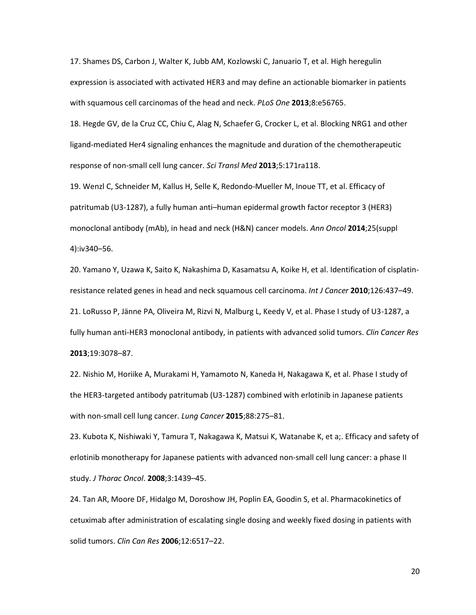17. Shames DS, Carbon J, Walter K, Jubb AM, Kozlowski C, Januario T, et al. High heregulin expression is associated with activated HER3 and may define an actionable biomarker in patients with squamous cell carcinomas of the head and neck. *PLoS One* **2013**;8:e56765.

18. Hegde GV, de la Cruz CC, Chiu C, Alag N, Schaefer G, Crocker L, et al. Blocking NRG1 and other ligand-mediated Her4 signaling enhances the magnitude and duration of the chemotherapeutic response of non-small cell lung cancer. *Sci Transl Med* **2013**;5:171ra118.

19. Wenzl C, Schneider M, Kallus H, Selle K, Redondo-Mueller M, Inoue TT, et al. Efficacy of patritumab (U3-1287), a fully human anti–human epidermal growth factor receptor 3 (HER3) monoclonal antibody (mAb), in head and neck (H&N) cancer models. *Ann Oncol* **2014**;25(suppl 4):iv340–56.

20. Yamano Y, Uzawa K, Saito K, Nakashima D, Kasamatsu A, Koike H, et al. Identification of cisplatin‐ resistance related genes in head and neck squamous cell carcinoma. *Int J Cancer* **2010**;126:437–49. 21. LoRusso P, Jänne PA, Oliveira M, Rizvi N, Malburg L, Keedy V, et al. Phase I study of U3-1287, a fully human anti-HER3 monoclonal antibody, in patients with advanced solid tumors. *Clin Cancer Res* **2013**;19:3078–87.

22. Nishio M, Horiike A, Murakami H, Yamamoto N, Kaneda H, Nakagawa K, et al. Phase I study of the HER3-targeted antibody patritumab (U3-1287) combined with erlotinib in Japanese patients with non-small cell lung cancer. *Lung Cancer* **2015**;88:275–81.

23. Kubota K, Nishiwaki Y, Tamura T, Nakagawa K, Matsui K, Watanabe K, et a;. Efficacy and safety of erlotinib monotherapy for Japanese patients with advanced non-small cell lung cancer: a phase II study. *J Thorac Oncol*. **2008**;3:1439–45.

24. Tan AR, Moore DF, Hidalgo M, Doroshow JH, Poplin EA, Goodin S, et al. Pharmacokinetics of cetuximab after administration of escalating single dosing and weekly fixed dosing in patients with solid tumors. *Clin Can Res* **2006**;12:6517–22.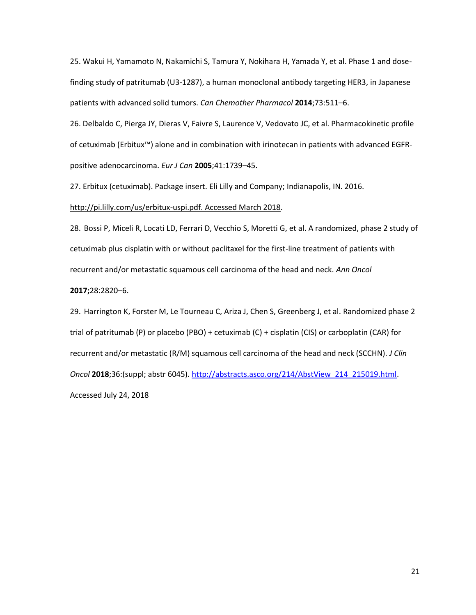25. Wakui H, Yamamoto N, Nakamichi S, Tamura Y, Nokihara H, Yamada Y, et al. Phase 1 and dosefinding study of patritumab (U3-1287), a human monoclonal antibody targeting HER3, in Japanese patients with advanced solid tumors. *Can Chemother Pharmacol* **2014**;73:511–6.

26. Delbaldo C, Pierga JY, Dieras V, Faivre S, Laurence V, Vedovato JC, et al. Pharmacokinetic profile of cetuximab (Erbitux™) alone and in combination with irinotecan in patients with advanced EGFRpositive adenocarcinoma. *Eur J Can* **2005**;41:1739–45.

27. Erbitux (cetuximab). Package insert. Eli Lilly and Company; Indianapolis, IN. 2016.

#### http://pi.lilly.com/us/erbitux-uspi.pdf. Accessed March 2018.

28. Bossi P, Miceli R, Locati LD, Ferrari D, Vecchio S, Moretti G, et al. A randomized, phase 2 study of cetuximab plus cisplatin with or without paclitaxel for the first-line treatment of patients with recurrent and/or metastatic squamous cell carcinoma of the head and neck. *Ann Oncol*

## **2017;**28:2820–6.

29. Harrington K, Forster M, Le Tourneau C, Ariza J, Chen S, Greenberg J, et al. Randomized phase 2 trial of patritumab (P) or placebo (PBO) + cetuximab (C) + cisplatin (CIS) or carboplatin (CAR) for recurrent and/or metastatic (R/M) squamous cell carcinoma of the head and neck (SCCHN). *J Clin Oncol* **2018**;36:(suppl; abstr 6045). http://abstracts.asco.org/214/AbstView\_214\_215019.html. Accessed July 24, 2018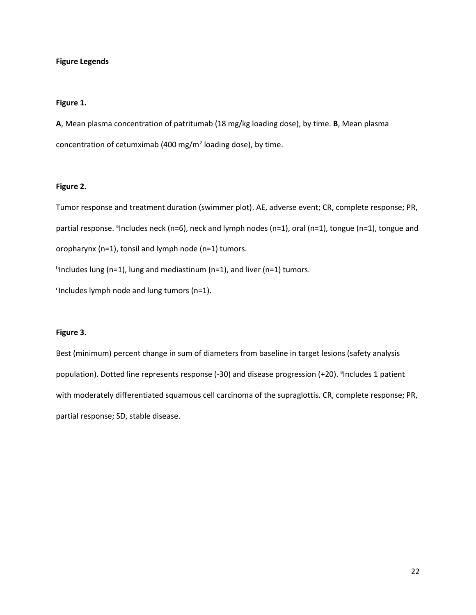## **Figure Legends**

## **Figure 1.**

**A**, Mean plasma concentration of patritumab (18 mg/kg loading dose), by time. **B**, Mean plasma concentration of cetumximab (400 mg/m<sup>2</sup> loading dose), by time.

## **Figure 2.**

Tumor response and treatment duration (swimmer plot). AE, adverse event; CR, complete response; PR, partial response. <sup>a</sup>Includes neck (n=6), neck and lymph nodes (n=1), oral (n=1), tongue (n=1), tongue and oropharynx (n=1), tonsil and lymph node (n=1) tumors.

<sup>b</sup>Includes lung (n=1), lung and mediastinum (n=1), and liver (n=1) tumors.

<sup>c</sup>Includes lymph node and lung tumors (n=1).

## **Figure 3.**

Best (minimum) percent change in sum of diameters from baseline in target lesions (safety analysis population). Dotted line represents response (-30) and disease progression (+20). <sup>a</sup>Includes 1 patient with moderately differentiated squamous cell carcinoma of the supraglottis. CR, complete response; PR, partial response; SD, stable disease.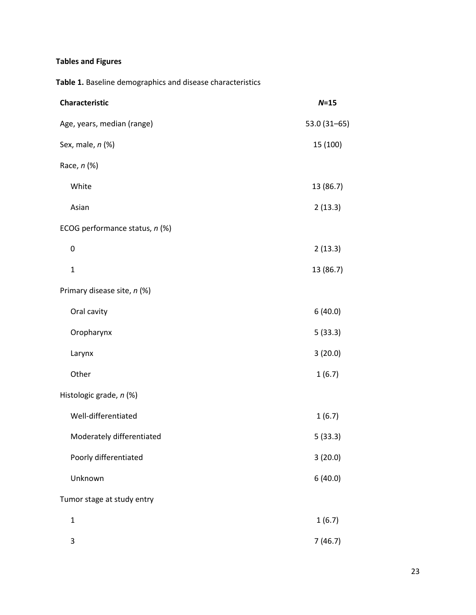## **Tables and Figures**

**Table 1.** Baseline demographics and disease characteristics

| Characteristic                 | $N=15$          |
|--------------------------------|-----------------|
| Age, years, median (range)     | $53.0(31 - 65)$ |
| Sex, male, n (%)               | 15 (100)        |
| Race, n (%)                    |                 |
| White                          | 13 (86.7)       |
| Asian                          | 2(13.3)         |
| ECOG performance status, n (%) |                 |
| 0                              | 2(13.3)         |
| $\mathbf{1}$                   | 13 (86.7)       |
| Primary disease site, n (%)    |                 |
| Oral cavity                    | 6(40.0)         |
| Oropharynx                     | 5(33.3)         |
| Larynx                         | 3(20.0)         |
| Other                          | 1(6.7)          |
| Histologic grade, n (%)        |                 |
| Well-differentiated            | 1(6.7)          |
| Moderately differentiated      | 5(33.3)         |
| Poorly differentiated          | 3(20.0)         |
| Unknown                        | 6(40.0)         |
| Tumor stage at study entry     |                 |
| $\mathbf 1$                    | 1(6.7)          |
| 3                              | 7(46.7)         |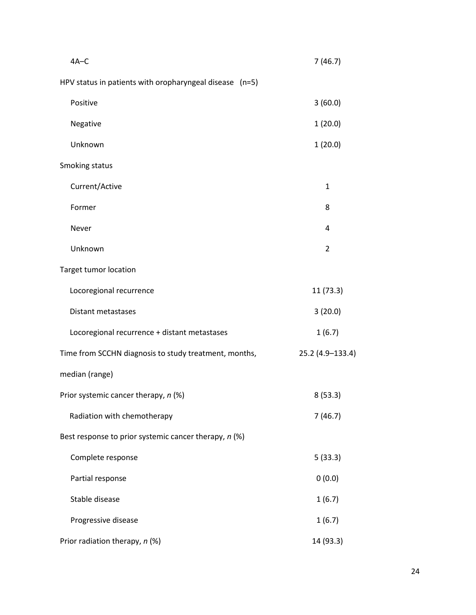| $4A-C$                                                  | 7(46.7)          |
|---------------------------------------------------------|------------------|
| HPV status in patients with oropharyngeal disease (n=5) |                  |
| Positive                                                | 3(60.0)          |
| Negative                                                | 1(20.0)          |
| Unknown                                                 | 1(20.0)          |
| Smoking status                                          |                  |
| Current/Active                                          | $\mathbf{1}$     |
| Former                                                  | 8                |
| Never                                                   | 4                |
| Unknown                                                 | $\overline{2}$   |
| <b>Target tumor location</b>                            |                  |
| Locoregional recurrence                                 | 11 (73.3)        |
| <b>Distant metastases</b>                               | 3(20.0)          |
| Locoregional recurrence + distant metastases            | 1(6.7)           |
| Time from SCCHN diagnosis to study treatment, months,   | 25.2 (4.9-133.4) |
| median (range)                                          |                  |
| Prior systemic cancer therapy, n (%)                    | 8(53.3)          |
| Radiation with chemotherapy                             | 7(46.7)          |
| Best response to prior systemic cancer therapy, n (%)   |                  |
| Complete response                                       | 5(33.3)          |
| Partial response                                        | 0(0.0)           |
| Stable disease                                          | 1(6.7)           |
| Progressive disease                                     | 1(6.7)           |
| Prior radiation therapy, n (%)                          | 14 (93.3)        |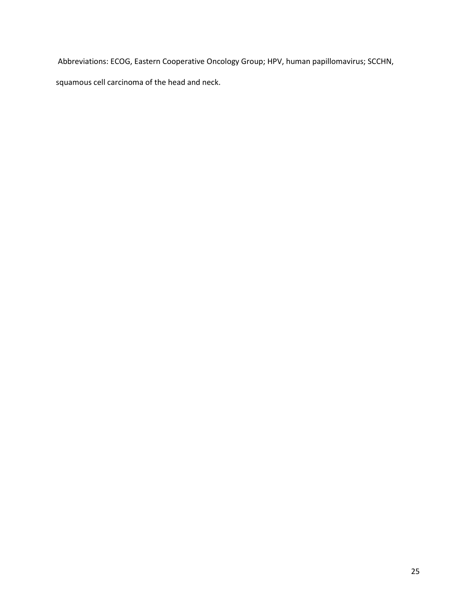Abbreviations: ECOG, Eastern Cooperative Oncology Group; HPV, human papillomavirus; SCCHN,

squamous cell carcinoma of the head and neck.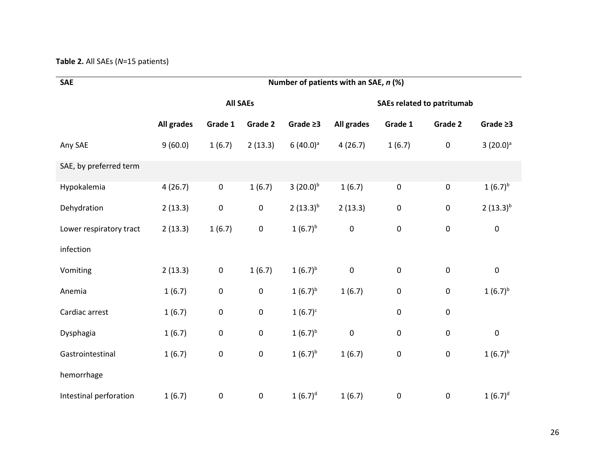## **Table 2.** All SAEs (*N*=15 patients)

| <b>SAE</b>              | Number of patients with an SAE, n (%) |                 |           |                |                                   |           |           |                |
|-------------------------|---------------------------------------|-----------------|-----------|----------------|-----------------------------------|-----------|-----------|----------------|
|                         |                                       | <b>All SAEs</b> |           |                | <b>SAEs related to patritumab</b> |           |           |                |
|                         | All grades                            | Grade 1         | Grade 2   | Grade $\geq 3$ | All grades                        | Grade 1   | Grade 2   | Grade $\geq 3$ |
| Any SAE                 | 9(60.0)                               | 1(6.7)          | 2(13.3)   | $6(40.0)^a$    | 4(26.7)                           | 1(6.7)    | $\pmb{0}$ | $3(20.0)^a$    |
| SAE, by preferred term  |                                       |                 |           |                |                                   |           |           |                |
| Hypokalemia             | 4(26.7)                               | $\pmb{0}$       | 1(6.7)    | 3 $(20.0)^{b}$ | 1(6.7)                            | $\pmb{0}$ | 0         | $1(6.7)^{b}$   |
| Dehydration             | 2(13.3)                               | 0               | $\pmb{0}$ | $2(13.3)^{b}$  | 2(13.3)                           | $\pmb{0}$ | $\pmb{0}$ | $2(13.3)^{b}$  |
| Lower respiratory tract | 2(13.3)                               | 1(6.7)          | $\pmb{0}$ | $1(6.7)^{b}$   | $\pmb{0}$                         | $\pmb{0}$ | 0         | $\pmb{0}$      |
| infection               |                                       |                 |           |                |                                   |           |           |                |
| Vomiting                | 2(13.3)                               | $\pmb{0}$       | 1(6.7)    | $1(6.7)^{b}$   | $\pmb{0}$                         | $\pmb{0}$ | $\pmb{0}$ | $\pmb{0}$      |
| Anemia                  | 1(6.7)                                | 0               | $\pmb{0}$ | $1(6.7)^{b}$   | 1(6.7)                            | 0         | 0         | $1(6.7)^{b}$   |
| Cardiac arrest          | 1(6.7)                                | 0               | $\pmb{0}$ | $1(6.7)^c$     |                                   | $\pmb{0}$ | $\pmb{0}$ |                |
| Dysphagia               | 1(6.7)                                | 0               | $\pmb{0}$ | $1(6.7)^{b}$   | $\pmb{0}$                         | $\pmb{0}$ | $\pmb{0}$ | $\pmb{0}$      |
| Gastrointestinal        | 1(6.7)                                | 0               | $\pmb{0}$ | $1(6.7)^{b}$   | 1(6.7)                            | $\pmb{0}$ | $\pmb{0}$ | $1(6.7)^{b}$   |
| hemorrhage              |                                       |                 |           |                |                                   |           |           |                |
| Intestinal perforation  | 1(6.7)                                | 0               | $\pmb{0}$ | $1(6.7)^d$     | 1(6.7)                            | 0         | $\pmb{0}$ | $1(6.7)^d$     |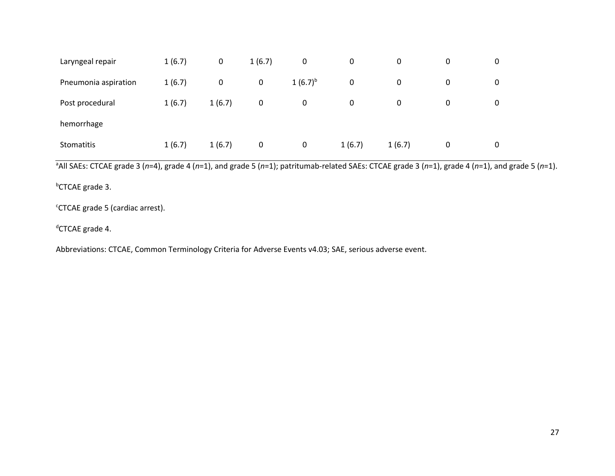| Laryngeal repair     | 1(6.7) | 0      | 1(6.7)      | $\mathbf 0$  | 0      | 0      | 0 | 0 |  |
|----------------------|--------|--------|-------------|--------------|--------|--------|---|---|--|
| Pneumonia aspiration | 1(6.7) | 0      | $\mathbf 0$ | $1(6.7)^{b}$ | 0      | 0      | 0 | 0 |  |
| Post procedural      | 1(6.7) | 1(6.7) | 0           | 0            | 0      | 0      | 0 | 0 |  |
| hemorrhage           |        |        |             |              |        |        |   |   |  |
| Stomatitis           | 1(6.7) | 1(6.7) | 0           | 0            | 1(6.7) | 1(6.7) | 0 | 0 |  |

<sup>a</sup>All SAEs: CTCAE grade 3 (*n*=4), grade 4 (*n*=1), and grade 5 (*n*=1); patritumab-related SAEs: CTCAE grade 3 (*n*=1), grade 4 (*n*=1), and grade 5 (*n*=1).

<sup>b</sup>CTCAE grade 3.

<sup>c</sup>CTCAE grade 5 (cardiac arrest).

<sup>d</sup>CTCAE grade 4.

Abbreviations: CTCAE, Common Terminology Criteria for Adverse Events v4.03; SAE, serious adverse event.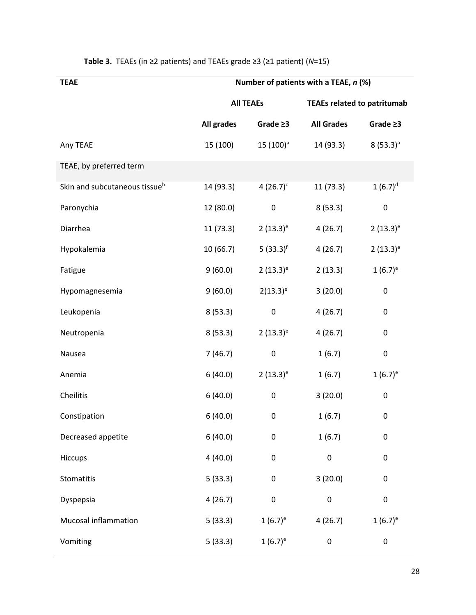| Number of patients with a TEAE, n (%) |                |                   |                                    |  |  |
|---------------------------------------|----------------|-------------------|------------------------------------|--|--|
|                                       |                |                   |                                    |  |  |
| All grades                            | Grade $\geq$ 3 | <b>All Grades</b> | Grade $\geq$ 3                     |  |  |
| 15 (100)                              | $15(100)^a$    | 14 (93.3)         | $8(53.3)^a$                        |  |  |
|                                       |                |                   |                                    |  |  |
| 14 (93.3)                             | 4 $(26.7)^c$   | 11 (73.3)         | $1(6.7)^d$                         |  |  |
| 12 (80.0)                             | $\pmb{0}$      | 8(53.3)           | 0                                  |  |  |
| 11(73.3)                              | $2(13.3)^e$    | 4(26.7)           | $2(13.3)^e$                        |  |  |
| 10 (66.7)                             | 5 $(33.3)^f$   | 4(26.7)           | $2(13.3)^e$                        |  |  |
| 9(60.0)                               | $2(13.3)^e$    | 2(13.3)           | $1(6.7)^e$                         |  |  |
| 9(60.0)                               | $2(13.3)^e$    | 3(20.0)           | $\pmb{0}$                          |  |  |
| 8(53.3)                               | 0              | 4(26.7)           | 0                                  |  |  |
| 8(53.3)                               | $2(13.3)^e$    | 4(26.7)           | 0                                  |  |  |
| 7(46.7)                               | 0              | 1(6.7)            | $\pmb{0}$                          |  |  |
| 6(40.0)                               | $2(13.3)^e$    | 1(6.7)            | $1(6.7)^e$                         |  |  |
| 6(40.0)                               | 0              | 3(20.0)           | 0                                  |  |  |
| 6(40.0)                               | 0              | 1(6.7)            | 0                                  |  |  |
| 6(40.0)                               | 0              | 1(6.7)            | 0                                  |  |  |
| 4(40.0)                               | 0              | 0                 | 0                                  |  |  |
| 5(33.3)                               | 0              | 3(20.0)           | 0                                  |  |  |
| 4(26.7)                               | 0              | 0                 | $\pmb{0}$                          |  |  |
| 5(33.3)                               | $1(6.7)^e$     | 4(26.7)           | $1(6.7)^e$                         |  |  |
| 5(33.3)                               | $1(6.7)^e$     | 0                 | 0                                  |  |  |
|                                       |                | <b>All TEAEs</b>  | <b>TEAEs related to patritumab</b> |  |  |

## **Table 3.** TEAEs (in ≥2 patients) and TEAEs grade ≥3 (≥1 patient) (*N*=15)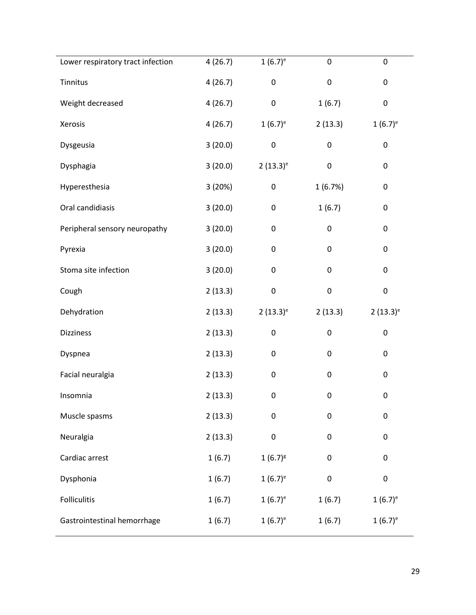| Lower respiratory tract infection | 4(26.7) | $1(6.7)^e$   | 0         | 0           |
|-----------------------------------|---------|--------------|-----------|-------------|
| Tinnitus                          | 4(26.7) | $\pmb{0}$    | $\pmb{0}$ | $\pmb{0}$   |
| Weight decreased                  | 4(26.7) | $\pmb{0}$    | 1(6.7)    | $\pmb{0}$   |
| Xerosis                           | 4(26.7) | $1(6.7)^e$   | 2(13.3)   | $1(6.7)^e$  |
| Dysgeusia                         | 3(20.0) | $\pmb{0}$    | 0         | $\pmb{0}$   |
| Dysphagia                         | 3(20.0) | $2(13.3)^e$  | $\pmb{0}$ | $\pmb{0}$   |
| Hyperesthesia                     | 3 (20%) | $\pmb{0}$    | 1(6.7%)   | $\pmb{0}$   |
| Oral candidiasis                  | 3(20.0) | $\pmb{0}$    | 1(6.7)    | $\pmb{0}$   |
| Peripheral sensory neuropathy     | 3(20.0) | $\pmb{0}$    | 0         | $\pmb{0}$   |
| Pyrexia                           | 3(20.0) | $\pmb{0}$    | $\pmb{0}$ | $\pmb{0}$   |
| Stoma site infection              | 3(20.0) | $\pmb{0}$    | 0         | $\pmb{0}$   |
| Cough                             | 2(13.3) | $\pmb{0}$    | $\pmb{0}$ | $\pmb{0}$   |
| Dehydration                       | 2(13.3) | $2(13.3)^e$  | 2(13.3)   | $2(13.3)^e$ |
| Dizziness                         | 2(13.3) | $\pmb{0}$    | 0         | $\pmb{0}$   |
| Dyspnea                           | 2(13.3) | $\pmb{0}$    | 0         | $\pmb{0}$   |
| Facial neuralgia                  | 2(13.3) | $\pmb{0}$    | 0         | $\pmb{0}$   |
| Insomnia                          | 2(13.3) | 0            | 0         | $\pmb{0}$   |
| Muscle spasms                     | 2(13.3) | 0            | 0         | 0           |
| Neuralgia                         | 2(13.3) | $\pmb{0}$    | 0         | 0           |
| Cardiac arrest                    | 1(6.7)  | $1(6.7)^{g}$ | 0         | $\pmb{0}$   |
| Dysphonia                         | 1(6.7)  | $1(6.7)^e$   | 0         | $\pmb{0}$   |
| <b>Folliculitis</b>               | 1(6.7)  | $1(6.7)^e$   | 1(6.7)    | $1(6.7)^e$  |
| Gastrointestinal hemorrhage       | 1(6.7)  | $1(6.7)^e$   | 1(6.7)    | $1(6.7)^e$  |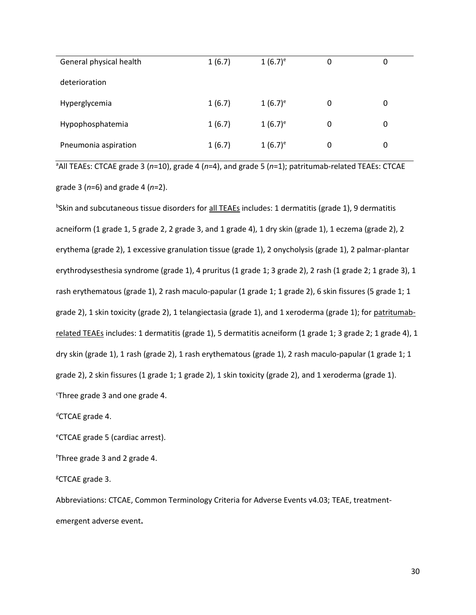| General physical health | 1(6.7) | $1(6.7)$ <sup>e</sup> | 0 | 0 |
|-------------------------|--------|-----------------------|---|---|
| deterioration           |        |                       |   |   |
| Hyperglycemia           | 1(6.7) | $1(6.7)^e$            | 0 | 0 |
| Hypophosphatemia        | 1(6.7) | $(6.7)^e$             | 0 | 0 |
| Pneumonia aspiration    | 1(6.7) | $1(6.7)^e$            | 0 | 0 |

<sup>a</sup>All TEAEs: CTCAE grade 3 (n=10), grade 4 (n=4), and grade 5 (n=1); patritumab-related TEAEs: CTCAE grade 3 (*n*=6) and grade 4 (*n*=2).

<sup>b</sup>Skin and subcutaneous tissue disorders for <u>all TEAEs</u> includes: 1 dermatitis (grade 1), 9 dermatitis acneiform (1 grade 1, 5 grade 2, 2 grade 3, and 1 grade 4), 1 dry skin (grade 1), 1 eczema (grade 2), 2 erythema (grade 2), 1 excessive granulation tissue (grade 1), 2 onycholysis (grade 1), 2 palmar-plantar erythrodysesthesia syndrome (grade 1), 4 pruritus (1 grade 1; 3 grade 2), 2 rash (1 grade 2; 1 grade 3), 1 rash erythematous (grade 1), 2 rash maculo-papular (1 grade 1; 1 grade 2), 6 skin fissures (5 grade 1; 1 grade 2), 1 skin toxicity (grade 2), 1 telangiectasia (grade 1), and 1 xeroderma (grade 1); for patritumabrelated TEAEs includes: 1 dermatitis (grade 1), 5 dermatitis acneiform (1 grade 1; 3 grade 2; 1 grade 4), 1 dry skin (grade 1), 1 rash (grade 2), 1 rash erythematous (grade 1), 2 rash maculo-papular (1 grade 1; 1 grade 2), 2 skin fissures (1 grade 1; 1 grade 2), 1 skin toxicity (grade 2), and 1 xeroderma (grade 1). <sup>c</sup>Three grade 3 and one grade 4.

<sup>d</sup>CTCAE grade 4.

<sup>e</sup>CTCAE grade 5 (cardiac arrest).

<sup>f</sup>Three grade 3 and 2 grade 4.

<sup>g</sup>CTCAE grade 3.

Abbreviations: CTCAE, Common Terminology Criteria for Adverse Events v4.03; TEAE, treatmentemergent adverse event**.**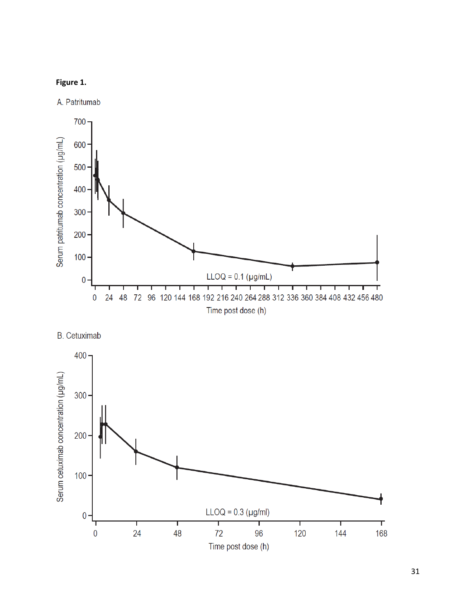## **Figure 1.**

A. Patritumab





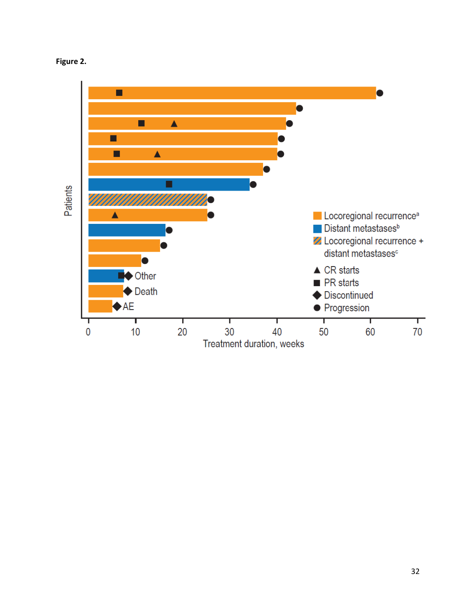

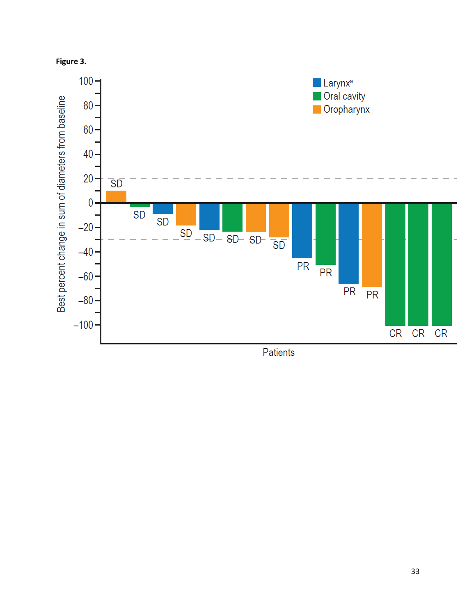



Patients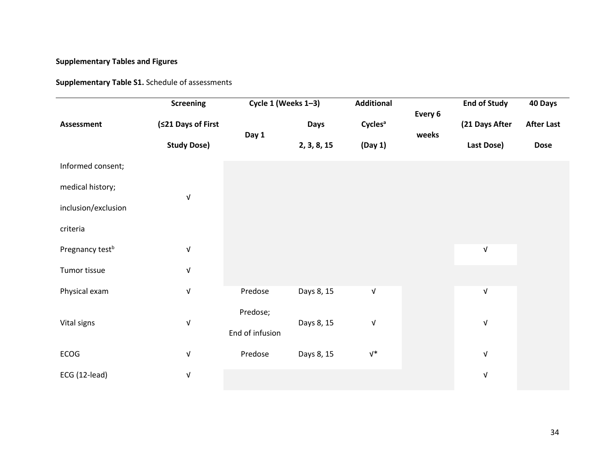## **Supplementary Tables and Figures**

**Supplementary Table S1.** Schedule of assessments

|                             | <b>Screening</b>          | Cycle 1 (Weeks 1-3)         |             | <b>Additional</b>         | Every 6 | <b>End of Study</b>       | 40 Days           |
|-----------------------------|---------------------------|-----------------------------|-------------|---------------------------|---------|---------------------------|-------------------|
| <b>Assessment</b>           | (≤21 Days of First        |                             | <b>Days</b> | <b>Cycles<sup>a</sup></b> |         | (21 Days After            | <b>After Last</b> |
|                             | <b>Study Dose)</b>        | Day 1                       | 2, 3, 8, 15 | (Day 1)                   | weeks   | Last Dose)                | <b>Dose</b>       |
| Informed consent;           |                           |                             |             |                           |         |                           |                   |
| medical history;            |                           |                             |             |                           |         |                           |                   |
| inclusion/exclusion         | $\sqrt{ }$                |                             |             |                           |         |                           |                   |
| criteria                    |                           |                             |             |                           |         |                           |                   |
| Pregnancy test <sup>b</sup> | $\sqrt{ }$                |                             |             |                           |         | $\ensuremath{\mathsf{V}}$ |                   |
| Tumor tissue                | $\sqrt{ }$                |                             |             |                           |         |                           |                   |
| Physical exam               | $\sqrt{ }$                | Predose                     | Days 8, 15  | ${\sf V}$                 |         | $\ensuremath{\mathsf{V}}$ |                   |
| Vital signs                 | $\ensuremath{\mathsf{V}}$ | Predose;<br>End of infusion | Days 8, 15  | V                         |         | $\ensuremath{\mathsf{V}}$ |                   |
| ECOG                        | $\sqrt{ }$                | Predose                     | Days 8, 15  | $V^*$                     |         | $\ensuremath{\mathsf{V}}$ |                   |
| ECG (12-lead)               | $\sqrt{ }$                |                             |             |                           |         | $\sqrt{ }$                |                   |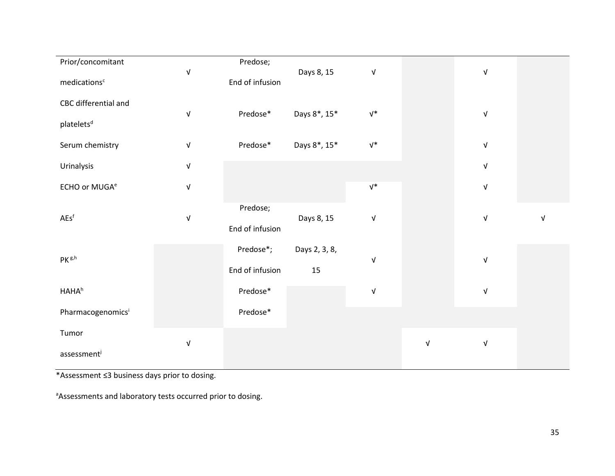| Prior/concomitant              |                           | Predose;        |               |                           |                           |                           |   |
|--------------------------------|---------------------------|-----------------|---------------|---------------------------|---------------------------|---------------------------|---|
|                                | $\sqrt{ }$                |                 | Days 8, 15    | $\ensuremath{\mathsf{V}}$ |                           | $\ensuremath{\mathsf{V}}$ |   |
| medications <sup>c</sup>       |                           | End of infusion |               |                           |                           |                           |   |
|                                |                           |                 |               |                           |                           |                           |   |
| CBC differential and           |                           |                 |               |                           |                           |                           |   |
|                                | $\sqrt{ }$                | Predose*        | Days 8*, 15*  | $V^*$                     |                           | $\ensuremath{\mathsf{V}}$ |   |
| platelets <sup>d</sup>         |                           |                 |               |                           |                           |                           |   |
|                                |                           |                 |               |                           |                           |                           |   |
| Serum chemistry                | $\sqrt{ }$                | Predose*        | Days 8*, 15*  | $\mathsf{V}^*$            |                           | $\ensuremath{\mathsf{V}}$ |   |
|                                |                           |                 |               |                           |                           |                           |   |
| Urinalysis                     | $\sqrt{\phantom{a}}$      |                 |               |                           |                           | $\ensuremath{\mathsf{V}}$ |   |
|                                |                           |                 |               |                           |                           |                           |   |
| ECHO or MUGA <sup>e</sup>      | $\sqrt{\phantom{a}}$      |                 |               | $V^*$                     |                           | $\ensuremath{\mathsf{V}}$ |   |
|                                |                           |                 |               |                           |                           |                           |   |
|                                |                           | Predose;        |               |                           |                           |                           |   |
| $AEs^f$                        | $\sqrt{\phantom{a}}$      |                 | Days 8, 15    | ${\sf V}$                 |                           | V                         | V |
|                                |                           | End of infusion |               |                           |                           |                           |   |
|                                |                           |                 |               |                           |                           |                           |   |
|                                |                           | Predose*;       | Days 2, 3, 8, |                           |                           |                           |   |
| $\mathsf{PK}^{\,\mathrm{g,h}}$ |                           |                 |               | $\sqrt{ }$                |                           | $\sqrt{ }$                |   |
|                                |                           | End of infusion | 15            |                           |                           |                           |   |
|                                |                           |                 |               |                           |                           |                           |   |
| <b>HAHA</b> <sup>h</sup>       |                           | Predose*        |               | $\ensuremath{\mathsf{V}}$ |                           | $\ensuremath{\mathsf{V}}$ |   |
|                                |                           |                 |               |                           |                           |                           |   |
| Pharmacogenomicsi              |                           | Predose*        |               |                           |                           |                           |   |
|                                |                           |                 |               |                           |                           |                           |   |
| Tumor                          |                           |                 |               |                           |                           |                           |   |
|                                | $\ensuremath{\mathsf{V}}$ |                 |               |                           | $\ensuremath{\mathsf{V}}$ | $\ensuremath{\mathsf{V}}$ |   |
| assessment                     |                           |                 |               |                           |                           |                           |   |
|                                |                           |                 |               |                           |                           |                           |   |

\*Assessment ≤3 business days prior to dosing.

aAssessments and laboratory tests occurred prior to dosing.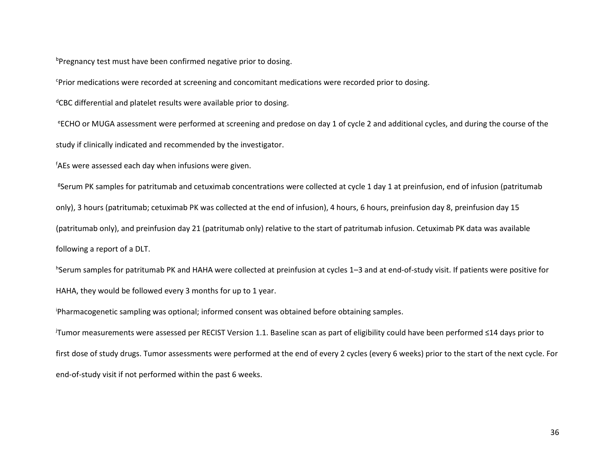$b$ Pregnancy test must have been confirmed negative prior to dosing.

<sup>c</sup>Prior medications were recorded at screening and concomitant medications were recorded prior to dosing.

<sup>d</sup>CBC differential and platelet results were available prior to dosing.

<sup>e</sup>ECHO or MUGA assessment were performed at screening and predose on day 1 of cycle 2 and additional cycles, and during the course of the study if clinically indicated and recommended by the investigator.

<sup>f</sup>AEs were assessed each day when infusions were given.

<sup>g</sup>Serum PK samples for patritumab and cetuximab concentrations were collected at cycle 1 day 1 at preinfusion, end of infusion (patritumab only), 3 hours (patritumab; cetuximab PK was collected at the end of infusion), 4 hours, 6 hours, preinfusion day 8, preinfusion day 15 (patritumab only), and preinfusion day 21 (patritumab only) relative to the start of patritumab infusion. Cetuximab PK data was available following a report of a DLT.

h Serum samples for patritumab PK and HAHA were collected at preinfusion at cycles 1–3 and at end-of-study visit. If patients were positive for HAHA, they would be followed every 3 months for up to 1 year.

<sup>i</sup>Pharmacogenetic sampling was optional; informed consent was obtained before obtaining samples.

<sup>j</sup>Tumor measurements were assessed per RECIST Version 1.1. Baseline scan as part of eligibility could have been performed ≤14 days prior to first dose of study drugs. Tumor assessments were performed at the end of every 2 cycles (every 6 weeks) prior to the start of the next cycle. For end-of-study visit if not performed within the past 6 weeks.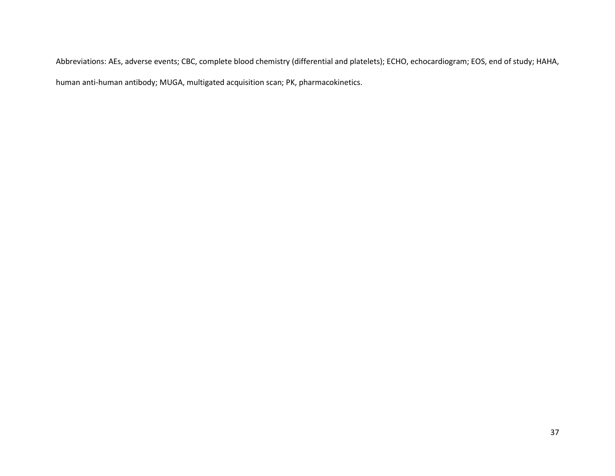Abbreviations: AEs, adverse events; CBC, complete blood chemistry (differential and platelets); ECHO, echocardiogram; EOS, end of study; HAHA, human anti-human antibody; MUGA, multigated acquisition scan; PK, pharmacokinetics.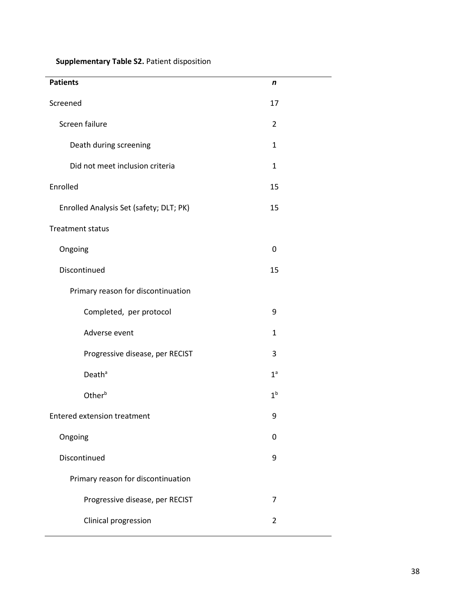**Supplementary Table S2.** Patient disposition

| <b>Patients</b>                         | n              |
|-----------------------------------------|----------------|
| Screened                                | 17             |
| Screen failure                          | 2              |
| Death during screening                  | $\mathbf{1}$   |
| Did not meet inclusion criteria         | $\mathbf{1}$   |
| Enrolled                                | 15             |
| Enrolled Analysis Set (safety; DLT; PK) | 15             |
| <b>Treatment status</b>                 |                |
| Ongoing                                 | 0              |
| Discontinued                            | 15             |
| Primary reason for discontinuation      |                |
| Completed, per protocol                 | 9              |
| Adverse event                           | $\mathbf{1}$   |
| Progressive disease, per RECIST         | 3              |
| Death <sup>ª</sup>                      | 1 <sup>a</sup> |
| Other <sup>b</sup>                      | 1 <sup>b</sup> |
| <b>Entered extension treatment</b>      | 9              |
| Ongoing                                 | 0              |
| Discontinued                            | 9              |
| Primary reason for discontinuation      |                |
| Progressive disease, per RECIST         | $\overline{7}$ |
| Clinical progression                    | $\overline{2}$ |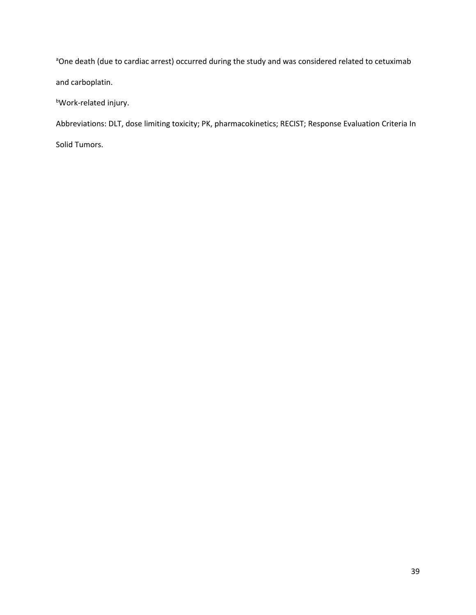<sup>a</sup>One death (due to cardiac arrest) occurred during the study and was considered related to cetuximab and carboplatin.

<sup>b</sup>Work-related injury.

Abbreviations: DLT, dose limiting toxicity; PK, pharmacokinetics; RECIST; Response Evaluation Criteria In

Solid Tumors.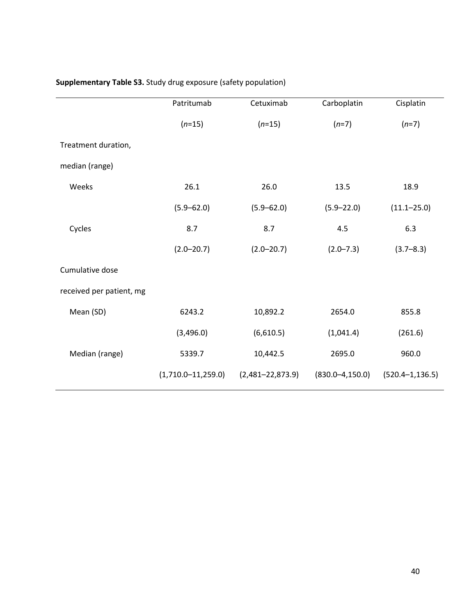| Supplementary Table S3. Study drug exposure (safety population) |  |  |  |  |  |
|-----------------------------------------------------------------|--|--|--|--|--|
|-----------------------------------------------------------------|--|--|--|--|--|

|                          | Patritumab             | Cetuximab            | Carboplatin          | Cisplatin            |
|--------------------------|------------------------|----------------------|----------------------|----------------------|
|                          | $(n=15)$               | $(n=15)$             | $(n=7)$              | $(n=7)$              |
| Treatment duration,      |                        |                      |                      |                      |
| median (range)           |                        |                      |                      |                      |
| Weeks                    | 26.1                   | 26.0                 | 13.5                 | 18.9                 |
|                          | $(5.9 - 62.0)$         | $(5.9 - 62.0)$       | $(5.9 - 22.0)$       | $(11.1 - 25.0)$      |
| Cycles                   | 8.7                    | 8.7                  | 4.5                  | 6.3                  |
|                          | $(2.0 - 20.7)$         | $(2.0 - 20.7)$       | $(2.0 - 7.3)$        | $(3.7 - 8.3)$        |
| Cumulative dose          |                        |                      |                      |                      |
| received per patient, mg |                        |                      |                      |                      |
| Mean (SD)                | 6243.2                 | 10,892.2             | 2654.0               | 855.8                |
|                          | (3,496.0)              | (6,610.5)            | (1,041.4)            | (261.6)              |
| Median (range)           | 5339.7                 | 10,442.5             | 2695.0               | 960.0                |
|                          | $(1,710.0 - 11,259.0)$ | $(2,481 - 22,873.9)$ | $(830.0 - 4, 150.0)$ | $(520.4 - 1, 136.5)$ |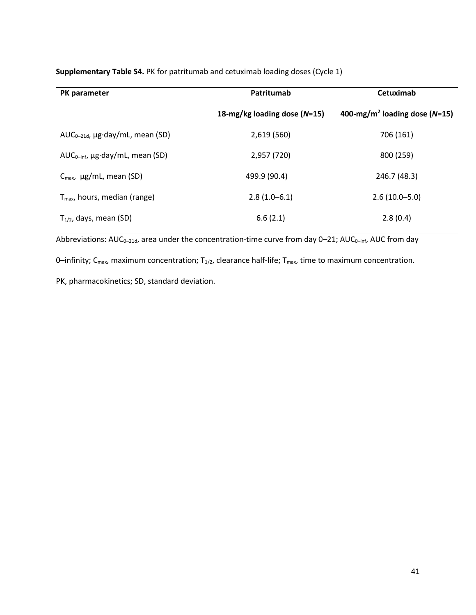| PK parameter                             | Patritumab                   | Cetuximab                                     |
|------------------------------------------|------------------------------|-----------------------------------------------|
|                                          | 18-mg/kg loading dose (N=15) | 400-mg/m <sup>2</sup> loading dose ( $N=15$ ) |
| $AUC_{0-21d}$ , µg·day/mL, mean (SD)     | 2,619 (560)                  | 706 (161)                                     |
| $AUC_{0-int}$ , µg·day/mL, mean (SD)     | 2,957 (720)                  | 800 (259)                                     |
| $C_{\text{max}}$ , $\mu$ g/mL, mean (SD) | 499.9 (90.4)                 | 246.7 (48.3)                                  |
| $Tmax$ , hours, median (range)           | $2.8(1.0-6.1)$               | $2.6(10.0 - 5.0)$                             |
| $T_{1/2}$ , days, mean (SD)              | 6.6(2.1)                     | 2.8(0.4)                                      |

**Supplementary Table S4.** PK for patritumab and cetuximab loading doses (Cycle 1)

Abbreviations:  $AUC_{0-21d}$ , area under the concentration-time curve from day  $0-21$ ;  $AUC_{0-inf}$ ,  $AUC$  from day

0-infinity;  $C_{\text{max}}$ , maximum concentration;  $T_{1/2}$ , clearance half-life;  $T_{\text{max}}$ , time to maximum concentration.

PK, pharmacokinetics; SD, standard deviation.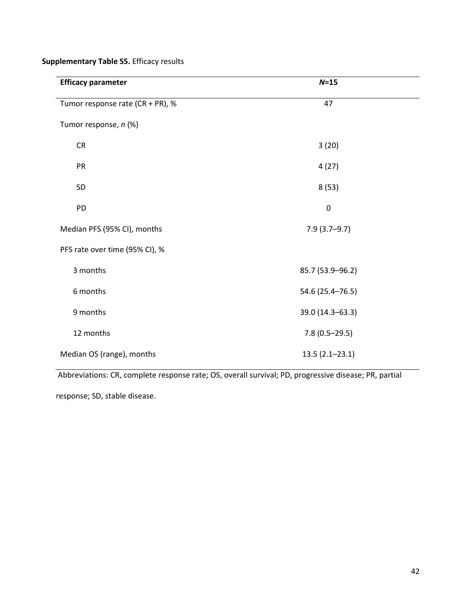**Supplementary Table S5.** Efficacy results

| <b>Efficacy parameter</b>        | $N=15$             |  |
|----------------------------------|--------------------|--|
| Tumor response rate (CR + PR), % | 47                 |  |
| Tumor response, n (%)            |                    |  |
| CR                               | 3(20)              |  |
| PR                               | 4(27)              |  |
| SD                               | 8(53)              |  |
| PD                               | $\boldsymbol{0}$   |  |
| Median PFS (95% CI), months      | $7.9(3.7-9.7)$     |  |
| PFS rate over time (95% CI), %   |                    |  |
| 3 months                         | 85.7 (53.9-96.2)   |  |
| 6 months                         | 54.6 (25.4-76.5)   |  |
| 9 months                         | 39.0 (14.3-63.3)   |  |
| 12 months                        | $7.8(0.5-29.5)$    |  |
| Median OS (range), months        | $13.5(2.1 - 23.1)$ |  |

Abbreviations: CR, complete response rate; OS, overall survival; PD, progressive disease; PR, partial

response; SD, stable disease.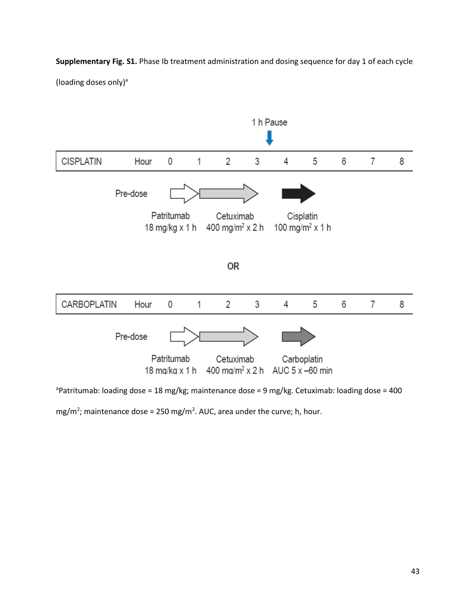**Supplementary Fig. S1.** Phase Ib treatment administration and dosing sequence for day 1 of each cycle

(loading doses only) $a$ 



<sup>a</sup>Patritumab: loading dose = 18 mg/kg; maintenance dose = 9 mg/kg. Cetuximab: loading dose = 400

mg/m<sup>2</sup>; maintenance dose = 250 mg/m<sup>2</sup>. AUC, area under the curve; h, hour.